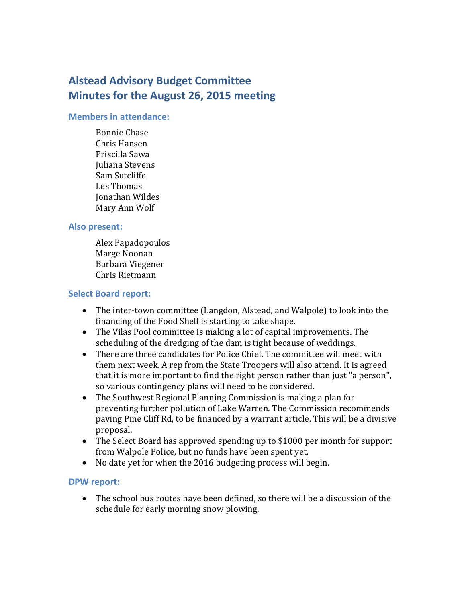# **Alstead Advisory Budget Committee Minutes for the August 26, 2015 meeting**

#### **Members in attendance:**

Bonnie Chase Chris Hansen Priscilla Sawa Juliana Stevens Sam Sutcliffe Les Thomas Jonathan Wildes Mary Ann Wolf

#### **Also present:**

Alex Papadopoulos Marge Noonan Barbara Viegener Chris Rietmann

#### **Select Board report:**

- The inter-town committee (Langdon, Alstead, and Walpole) to look into the financing of the Food Shelf is starting to take shape.
- The Vilas Pool committee is making a lot of capital improvements. The scheduling of the dredging of the dam is tight because of weddings.
- There are three candidates for Police Chief. The committee will meet with them next week. A rep from the State Troopers will also attend. It is agreed that it is more important to find the right person rather than just "a person", so various contingency plans will need to be considered.
- The Southwest Regional Planning Commission is making a plan for preventing further pollution of Lake Warren. The Commission recommends paving Pine Cliff Rd, to be financed by a warrant article. This will be a divisive proposal.
- The Select Board has approved spending up to \$1000 per month for support from Walpole Police, but no funds have been spent yet.
- No date yet for when the 2016 budgeting process will begin.

## **DPW report:**

 The school bus routes have been defined, so there will be a discussion of the schedule for early morning snow plowing.